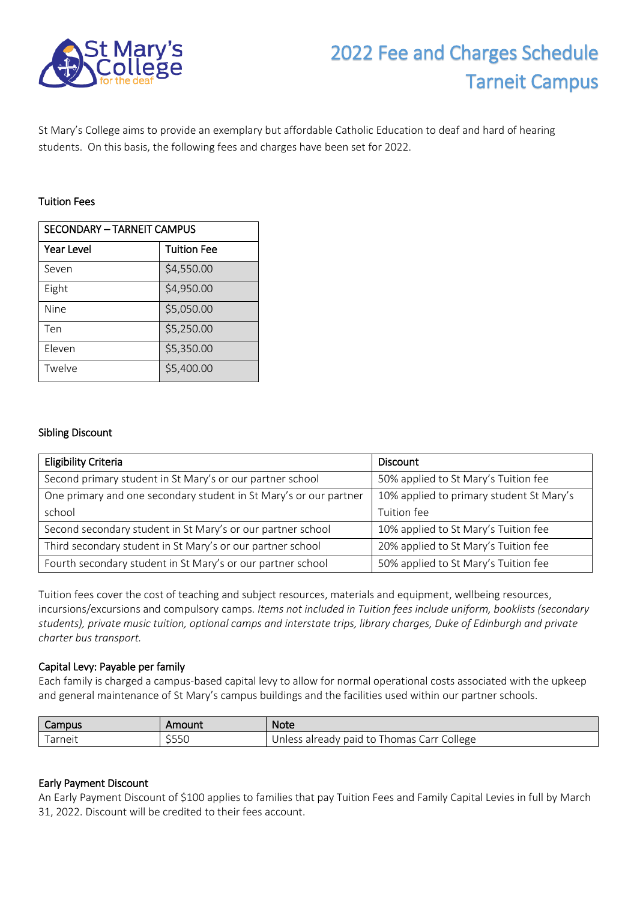

# 2022 Fee and Charges Schedule Tarneit Campus

St Mary's College aims to provide an exemplary but affordable Catholic Education to deaf and hard of hearing students. On this basis, the following fees and charges have been set for 2022.

## Tuition Fees

| <b>SECONDARY - TARNEIT CAMPUS</b> |                    |  |
|-----------------------------------|--------------------|--|
| <b>Year Level</b>                 | <b>Tuition Fee</b> |  |
| Seven                             | \$4,550.00         |  |
| Eight                             | \$4,950.00         |  |
| Nine                              | \$5,050.00         |  |
| Ten                               | \$5,250.00         |  |
| Eleven                            | \$5,350.00         |  |
| Twelve                            | \$5,400.00         |  |

# Sibling Discount

| <b>Eligibility Criteria</b>                                       | <b>Discount</b>                          |
|-------------------------------------------------------------------|------------------------------------------|
| Second primary student in St Mary's or our partner school         | 50% applied to St Mary's Tuition fee     |
| One primary and one secondary student in St Mary's or our partner | 10% applied to primary student St Mary's |
| school                                                            | Tuition fee                              |
| Second secondary student in St Mary's or our partner school       | 10% applied to St Mary's Tuition fee     |
| Third secondary student in St Mary's or our partner school        | 20% applied to St Mary's Tuition fee     |
| Fourth secondary student in St Mary's or our partner school       | 50% applied to St Mary's Tuition fee     |

Tuition fees cover the cost of teaching and subject resources, materials and equipment, wellbeing resources, incursions/excursions and compulsory camps. *Items not included in Tuition fees include uniform, booklists (secondary students), private music tuition, optional camps and interstate trips, library charges, Duke of Edinburgh and private charter bus transport.*

# Capital Levy: Payable per family

Each family is charged a campus-based capital levy to allow for normal operational costs associated with the upkeep and general maintenance of St Mary's campus buildings and the facilities used within our partner schools.

| Campus | Amount        | <b>Note</b>                                                          |
|--------|---------------|----------------------------------------------------------------------|
| arneit | F F C<br>255L | College<br>- Thomas Carr <del>/</del><br>already paid to i<br>Unless |

# Early Payment Discount

An Early Payment Discount of \$100 applies to families that pay Tuition Fees and Family Capital Levies in full by March 31, 2022. Discount will be credited to their fees account.